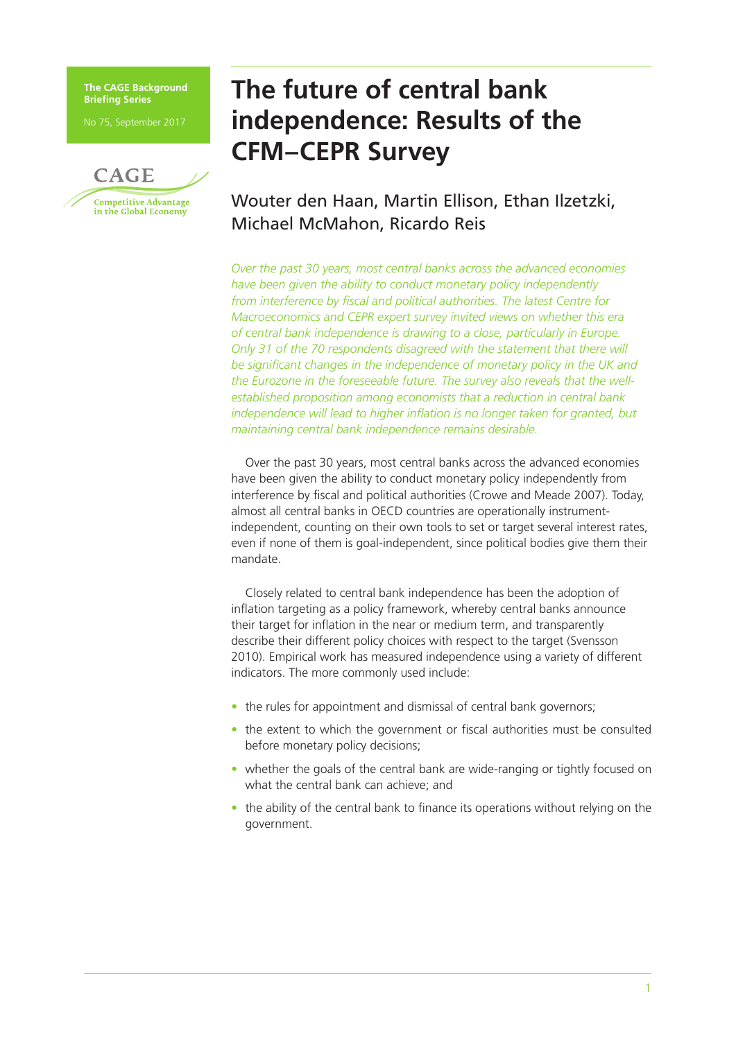**The CAGE Background Briefing Series**

No 75, September 2017



# **The future of central bank independence: Results of the CFM–CEPR Survey**

# Wouter den Haan, Martin Ellison, Ethan Ilzetzki, Michael McMahon, Ricardo Reis

*Over the past 30 years, most central banks across the advanced economies have been given the ability to conduct monetary policy independently from interference by fiscal and political authorities. The latest Centre for Macroeconomics and CEPR expert survey invited views on whether this era of central bank independence is drawing to a close, particularly in Europe. Only 31 of the 70 respondents disagreed with the statement that there will be significant changes in the independence of monetary policy in the UK and the Eurozone in the foreseeable future. The survey also reveals that the wellestablished proposition among economists that a reduction in central bank independence will lead to higher inflation is no longer taken for granted, but maintaining central bank independence remains desirable.*

Over the past 30 years, most central banks across the advanced economies have been given the ability to conduct monetary policy independently from interference by fiscal and political authorities (Crowe and Meade 2007). Today, almost all central banks in OECD countries are operationally instrumentindependent, counting on their own tools to set or target several interest rates, even if none of them is goal-independent, since political bodies give them their mandate.

Closely related to central bank independence has been the adoption of inflation targeting as a policy framework, whereby central banks announce their target for inflation in the near or medium term, and transparently describe their different policy choices with respect to the target (Svensson 2010). Empirical work has measured independence using a variety of different indicators. The more commonly used include:

- the rules for appointment and dismissal of central bank governors;
- the extent to which the government or fiscal authorities must be consulted before monetary policy decisions;
- whether the goals of the central bank are wide-ranging or tightly focused on what the central bank can achieve; and
- the ability of the central bank to finance its operations without relying on the government.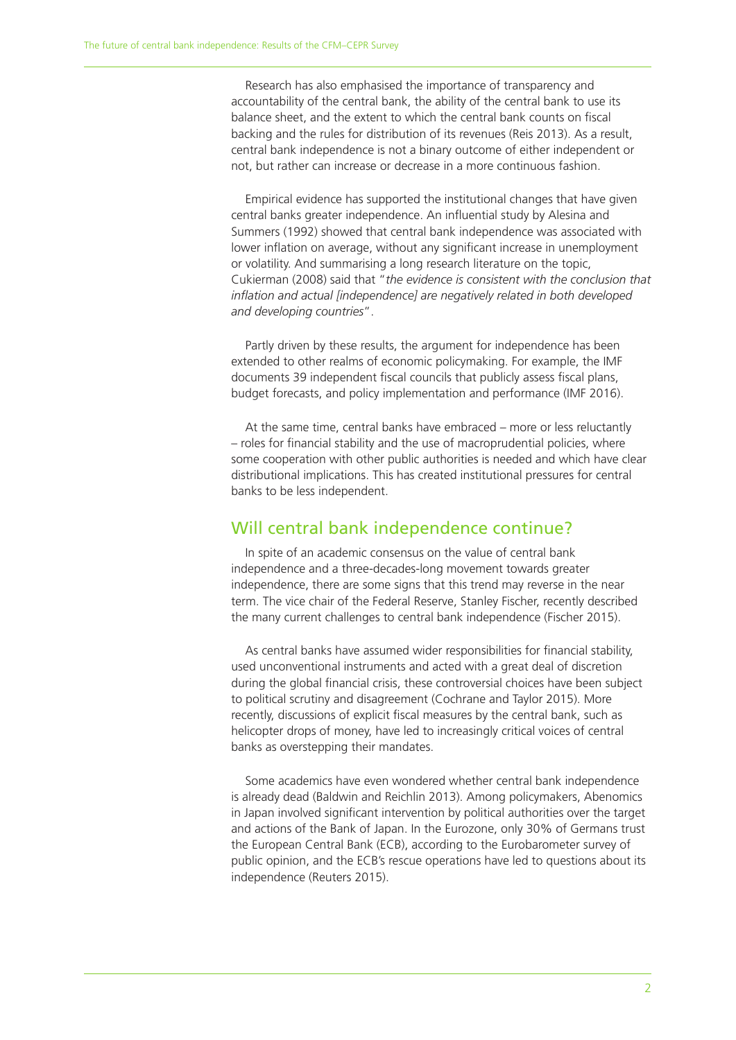Research has also emphasised the importance of transparency and accountability of the central bank, the ability of the central bank to use its balance sheet, and the extent to which the central bank counts on fiscal backing and the rules for distribution of its revenues (Reis 2013). As a result, central bank independence is not a binary outcome of either independent or not, but rather can increase or decrease in a more continuous fashion.

Empirical evidence has supported the institutional changes that have given central banks greater independence. An influential study by Alesina and Summers (1992) showed that central bank independence was associated with lower inflation on average, without any significant increase in unemployment or volatility. And summarising a long research literature on the topic, Cukierman (2008) said that "*the evidence is consistent with the conclusion that inflation and actual [independence] are negatively related in both developed and developing countries*".

Partly driven by these results, the argument for independence has been extended to other realms of economic policymaking. For example, the IMF documents 39 independent fiscal councils that publicly assess fiscal plans, budget forecasts, and policy implementation and performance (IMF 2016).

At the same time, central banks have embraced – more or less reluctantly – roles for financial stability and the use of macroprudential policies, where some cooperation with other public authorities is needed and which have clear distributional implications. This has created institutional pressures for central banks to be less independent.

#### Will central bank independence continue?

In spite of an academic consensus on the value of central bank independence and a three-decades-long movement towards greater independence, there are some signs that this trend may reverse in the near term. The vice chair of the Federal Reserve, Stanley Fischer, recently described the many current challenges to central bank independence (Fischer 2015).

As central banks have assumed wider responsibilities for financial stability, used unconventional instruments and acted with a great deal of discretion during the global financial crisis, these controversial choices have been subject to political scrutiny and disagreement (Cochrane and Taylor 2015). More recently, discussions of explicit fiscal measures by the central bank, such as helicopter drops of money, have led to increasingly critical voices of central banks as overstepping their mandates.

Some academics have even wondered whether central bank independence is already dead (Baldwin and Reichlin 2013). Among policymakers, Abenomics in Japan involved significant intervention by political authorities over the target and actions of the Bank of Japan. In the Eurozone, only 30% of Germans trust the European Central Bank (ECB), according to the Eurobarometer survey of public opinion, and the ECB's rescue operations have led to questions about its independence (Reuters 2015).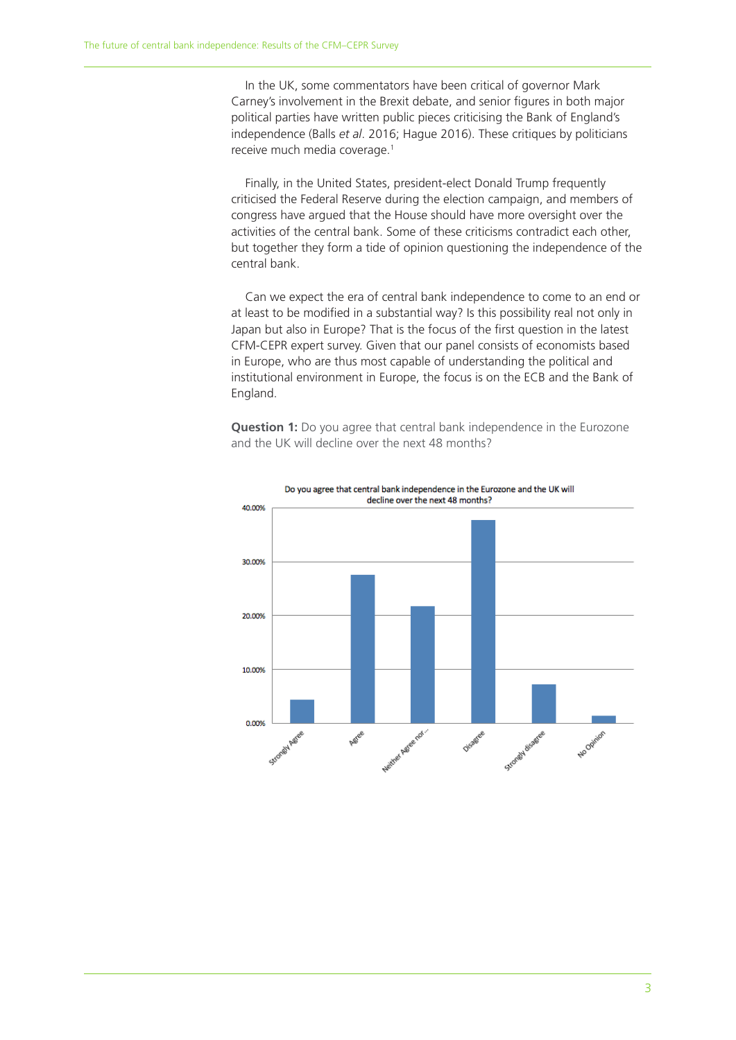In the UK, some commentators have been critical of governor Mark Carney's involvement in the Brexit debate, and senior figures in both major political parties have written public pieces criticising the Bank of England's independence (Balls *et al*. 2016; Hague 2016). These critiques by politicians receive much media coverage.1

Finally, in the United States, president-elect Donald Trump frequently criticised the Federal Reserve during the election campaign, and members of congress have argued that the House should have more oversight over the activities of the central bank. Some of these criticisms contradict each other, but together they form a tide of opinion questioning the independence of the central bank.

Can we expect the era of central bank independence to come to an end or at least to be modified in a substantial way? Is this possibility real not only in Japan but also in Europe? That is the focus of the first question in the latest CFM-CEPR expert survey. Given that our panel consists of economists based in Europe, who are thus most capable of understanding the political and institutional environment in Europe, the focus is on the ECB and the Bank of England.

**Question 1:** Do you agree that central bank independence in the Eurozone and the UK will decline over the next 48 months?

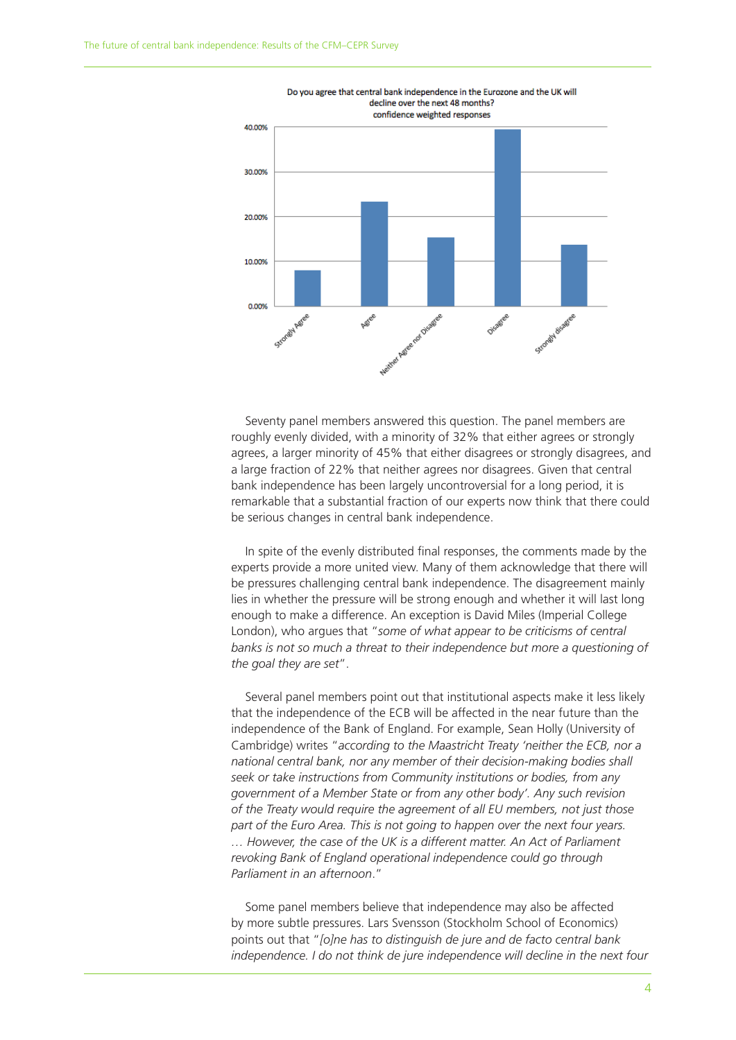

Seventy panel members answered this question. The panel members are roughly evenly divided, with a minority of 32% that either agrees or strongly agrees, a larger minority of 45% that either disagrees or strongly disagrees, and a large fraction of 22% that neither agrees nor disagrees. Given that central bank independence has been largely uncontroversial for a long period, it is remarkable that a substantial fraction of our experts now think that there could be serious changes in central bank independence.

In spite of the evenly distributed final responses, the comments made by the experts provide a more united view. Many of them acknowledge that there will be pressures challenging central bank independence. The disagreement mainly lies in whether the pressure will be strong enough and whether it will last long enough to make a difference. An exception is David Miles (Imperial College London), who argues that "*some of what appear to be criticisms of central banks is not so much a threat to their independence but more a questioning of the goal they are set*".

Several panel members point out that institutional aspects make it less likely that the independence of the ECB will be affected in the near future than the independence of the Bank of England. For example, Sean Holly (University of Cambridge) writes "*according to the Maastricht Treaty 'neither the ECB, nor a national central bank, nor any member of their decision-making bodies shall seek or take instructions from Community institutions or bodies, from any government of a Member State or from any other body'. Any such revision of the Treaty would require the agreement of all EU members, not just those part of the Euro Area. This is not going to happen over the next four years. … However, the case of the UK is a different matter. An Act of Parliament revoking Bank of England operational independence could go through Parliament in an afternoon*."

Some panel members believe that independence may also be affected by more subtle pressures. Lars Svensson (Stockholm School of Economics) points out that "*[o]ne has to distinguish de jure and de facto central bank*  independence. I do not think de jure independence will decline in the next four

 $\Delta$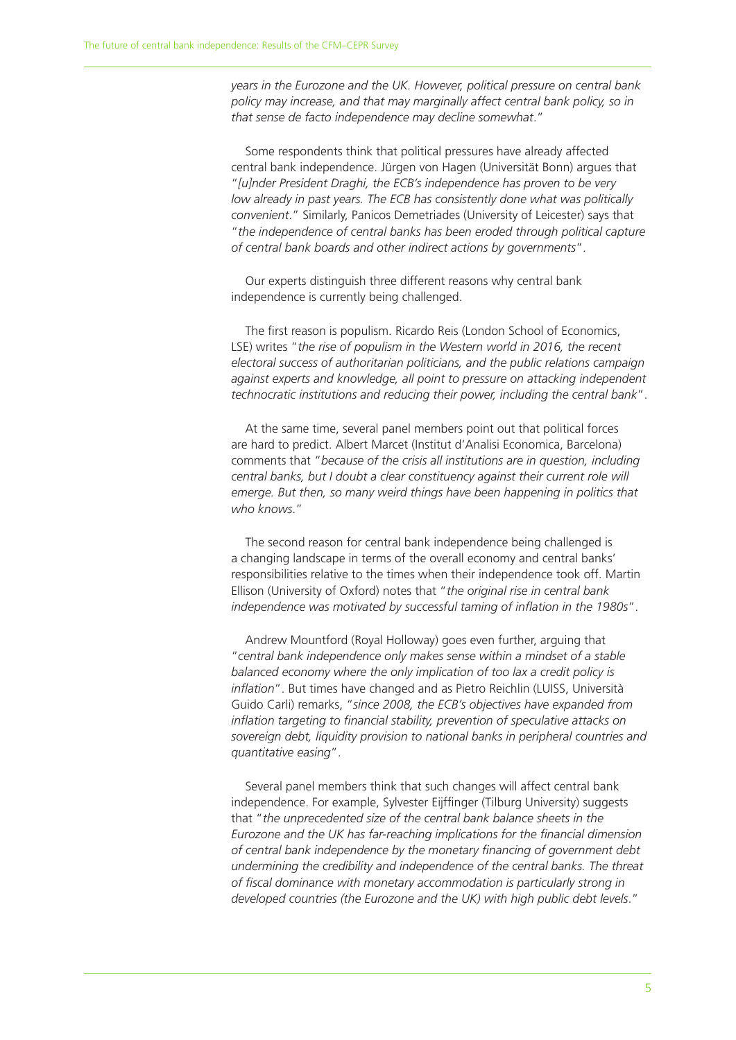*years in the Eurozone and the UK. However, political pressure on central bank policy may increase, and that may marginally affect central bank policy, so in that sense de facto independence may decline somewhat*."

Some respondents think that political pressures have already affected central bank independence. Jürgen von Hagen (Universität Bonn) argues that "*[u]nder President Draghi, the ECB's independence has proven to be very low already in past years. The ECB has consistently done what was politically convenient*." Similarly, Panicos Demetriades (University of Leicester) says that "*the independence of central banks has been eroded through political capture of central bank boards and other indirect actions by governments*".

Our experts distinguish three different reasons why central bank independence is currently being challenged.

The first reason is populism. Ricardo Reis (London School of Economics, LSE) writes "*the rise of populism in the Western world in 2016, the recent electoral success of authoritarian politicians, and the public relations campaign against experts and knowledge, all point to pressure on attacking independent technocratic institutions and reducing their power, including the central bank*".

At the same time, several panel members point out that political forces are hard to predict. Albert Marcet (Institut d'Analisi Economica, Barcelona) comments that "*because of the crisis all institutions are in question, including central banks, but I doubt a clear constituency against their current role will emerge. But then, so many weird things have been happening in politics that who knows*."

The second reason for central bank independence being challenged is a changing landscape in terms of the overall economy and central banks' responsibilities relative to the times when their independence took off. Martin Ellison (University of Oxford) notes that "*the original rise in central bank independence was motivated by successful taming of inflation in the 1980s*".

Andrew Mountford (Royal Holloway) goes even further, arguing that "*central bank independence only makes sense within a mindset of a stable balanced economy where the only implication of too lax a credit policy is inflation*". But times have changed and as Pietro Reichlin (LUISS, Università Guido Carli) remarks, "*since 2008, the ECB's objectives have expanded from inflation targeting to financial stability, prevention of speculative attacks on sovereign debt, liquidity provision to national banks in peripheral countries and quantitative easing*".

Several panel members think that such changes will affect central bank independence. For example, Sylvester Eijffinger (Tilburg University) suggests that "*the unprecedented size of the central bank balance sheets in the Eurozone and the UK has far-reaching implications for the financial dimension of central bank independence by the monetary financing of government debt undermining the credibility and independence of the central banks. The threat of fiscal dominance with monetary accommodation is particularly strong in developed countries (the Eurozone and the UK) with high public debt levels*."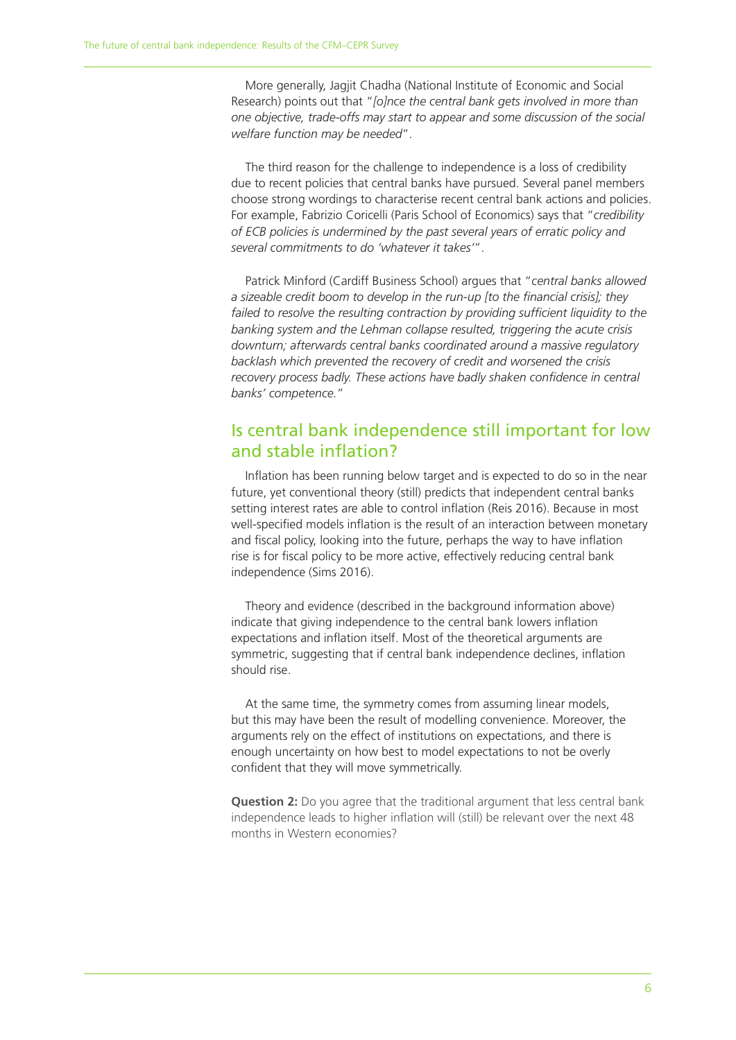More generally, Jagjit Chadha (National Institute of Economic and Social Research) points out that "*[o]nce the central bank gets involved in more than one objective, trade-offs may start to appear and some discussion of the social welfare function may be needed*".

The third reason for the challenge to independence is a loss of credibility due to recent policies that central banks have pursued. Several panel members choose strong wordings to characterise recent central bank actions and policies. For example, Fabrizio Coricelli (Paris School of Economics) says that "*credibility of ECB policies is undermined by the past several years of erratic policy and several commitments to do 'whatever it takes'*".

Patrick Minford (Cardiff Business School) argues that "*central banks allowed a sizeable credit boom to develop in the run-up [to the financial crisis]; they failed to resolve the resulting contraction by providing sufficient liquidity to the banking system and the Lehman collapse resulted, triggering the acute crisis downturn; afterwards central banks coordinated around a massive regulatory backlash which prevented the recovery of credit and worsened the crisis recovery process badly. These actions have badly shaken confidence in central banks' competence.*"

### Is central bank independence still important for low and stable inflation?

Inflation has been running below target and is expected to do so in the near future, yet conventional theory (still) predicts that independent central banks setting interest rates are able to control inflation (Reis 2016). Because in most well-specified models inflation is the result of an interaction between monetary and fiscal policy, looking into the future, perhaps the way to have inflation rise is for fiscal policy to be more active, effectively reducing central bank independence (Sims 2016).

Theory and evidence (described in the background information above) indicate that giving independence to the central bank lowers inflation expectations and inflation itself. Most of the theoretical arguments are symmetric, suggesting that if central bank independence declines, inflation should rise.

At the same time, the symmetry comes from assuming linear models, but this may have been the result of modelling convenience. Moreover, the arguments rely on the effect of institutions on expectations, and there is enough uncertainty on how best to model expectations to not be overly confident that they will move symmetrically.

**Question 2:** Do you agree that the traditional argument that less central bank independence leads to higher inflation will (still) be relevant over the next 48 months in Western economies?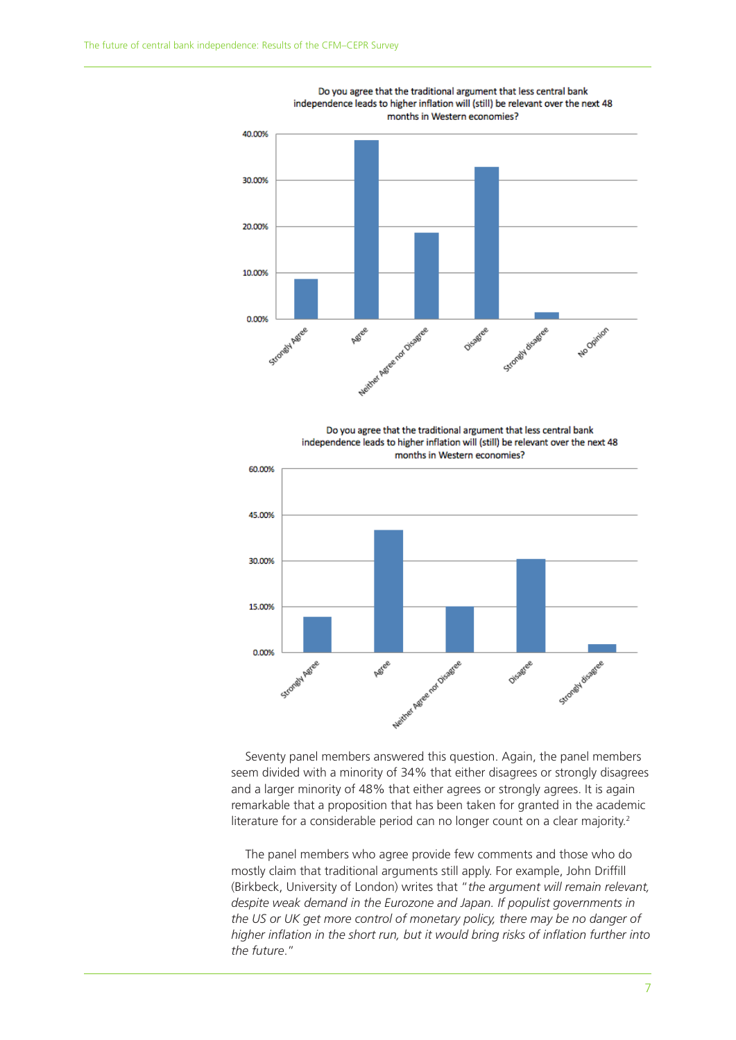0.00%

Strongy Assee





Seventy panel members answered this question. Again, the panel members seem divided with a minority of 34% that either disagrees or strongly disagrees and a larger minority of 48% that either agrees or strongly agrees. It is again remarkable that a proposition that has been taken for granted in the academic literature for a considerable period can no longer count on a clear majority.<sup>2</sup>

Nextree Assessment Disable et

**ASI**CE

Disagree

Strongly disastee

The panel members who agree provide few comments and those who do mostly claim that traditional arguments still apply. For example, John Driffill (Birkbeck, University of London) writes that "*the argument will remain relevant, despite weak demand in the Eurozone and Japan. If populist governments in the US or UK get more control of monetary policy, there may be no danger of higher inflation in the short run, but it would bring risks of inflation further into the future*."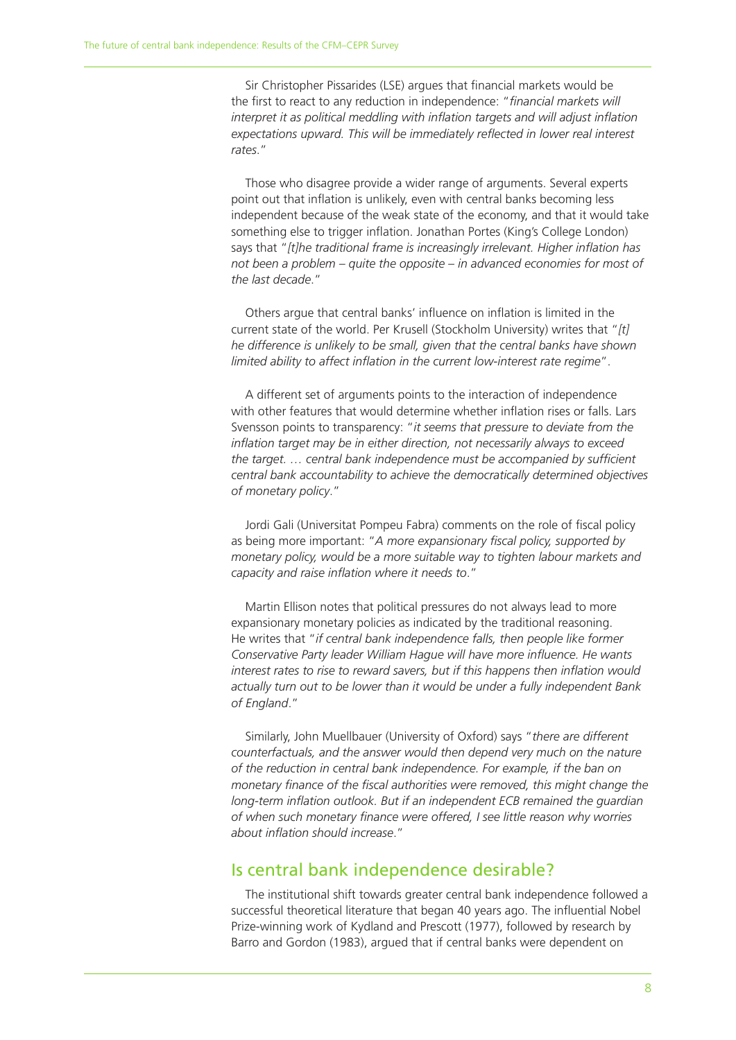Sir Christopher Pissarides (LSE) argues that financial markets would be the first to react to any reduction in independence: "*financial markets will interpret it as political meddling with inflation targets and will adjust inflation expectations upward. This will be immediately reflected in lower real interest rates*."

Those who disagree provide a wider range of arguments. Several experts point out that inflation is unlikely, even with central banks becoming less independent because of the weak state of the economy, and that it would take something else to trigger inflation. Jonathan Portes (King's College London) says that "*[t]he traditional frame is increasingly irrelevant. Higher inflation has not been a problem – quite the opposite – in advanced economies for most of the last decade*."

Others argue that central banks' influence on inflation is limited in the current state of the world. Per Krusell (Stockholm University) writes that "*[t] he difference is unlikely to be small, given that the central banks have shown limited ability to affect inflation in the current low-interest rate regime*".

A different set of arguments points to the interaction of independence with other features that would determine whether inflation rises or falls. Lars Svensson points to transparency: "*it seems that pressure to deviate from the inflation target may be in either direction, not necessarily always to exceed the target. … central bank independence must be accompanied by sufficient central bank accountability to achieve the democratically determined objectives of monetary policy*."

Jordi Gali (Universitat Pompeu Fabra) comments on the role of fiscal policy as being more important: "*A more expansionary fiscal policy, supported by monetary policy, would be a more suitable way to tighten labour markets and capacity and raise inflation where it needs to*."

Martin Ellison notes that political pressures do not always lead to more expansionary monetary policies as indicated by the traditional reasoning. He writes that "*if central bank independence falls, then people like former Conservative Party leader William Hague will have more influence. He wants interest rates to rise to reward savers, but if this happens then inflation would actually turn out to be lower than it would be under a fully independent Bank of England*."

Similarly, John Muellbauer (University of Oxford) says "*there are different counterfactuals, and the answer would then depend very much on the nature of the reduction in central bank independence. For example, if the ban on monetary finance of the fiscal authorities were removed, this might change the long-term inflation outlook. But if an independent ECB remained the guardian of when such monetary finance were offered, I see little reason why worries about inflation should increase*."

#### Is central bank independence desirable?

The institutional shift towards greater central bank independence followed a successful theoretical literature that began 40 years ago. The influential Nobel Prize-winning work of Kydland and Prescott (1977), followed by research by Barro and Gordon (1983), argued that if central banks were dependent on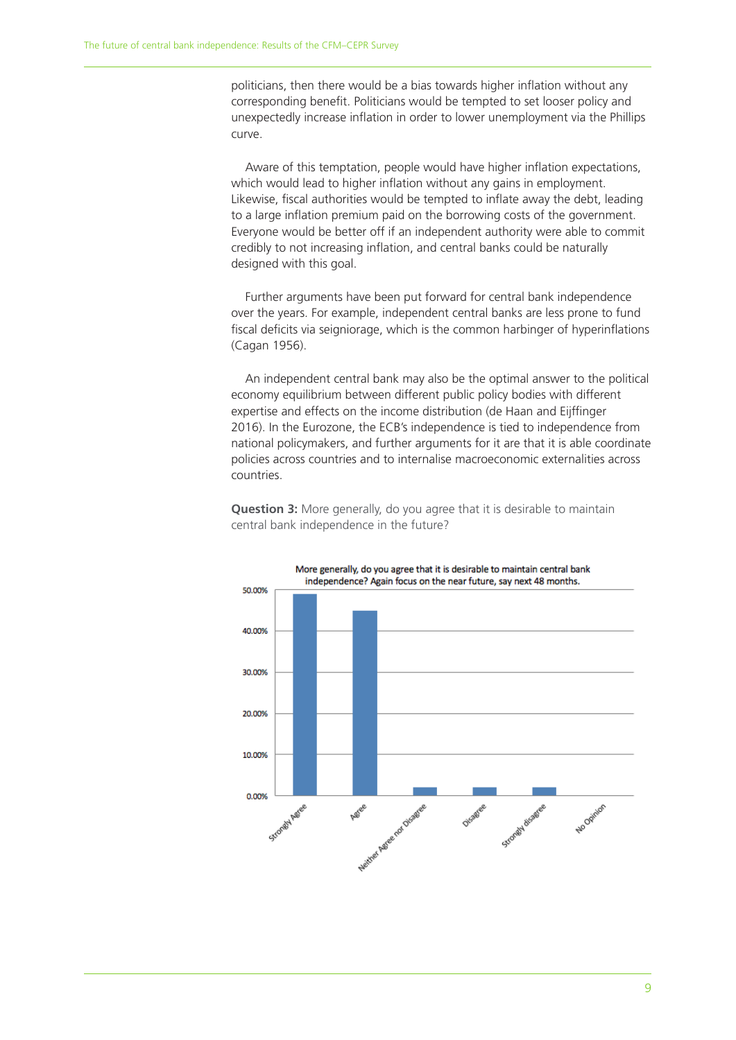politicians, then there would be a bias towards higher inflation without any corresponding benefit. Politicians would be tempted to set looser policy and unexpectedly increase inflation in order to lower unemployment via the Phillips curve.

Aware of this temptation, people would have higher inflation expectations, which would lead to higher inflation without any gains in employment. Likewise, fiscal authorities would be tempted to inflate away the debt, leading to a large inflation premium paid on the borrowing costs of the government. Everyone would be better off if an independent authority were able to commit credibly to not increasing inflation, and central banks could be naturally designed with this goal.

Further arguments have been put forward for central bank independence over the years. For example, independent central banks are less prone to fund fiscal deficits via seigniorage, which is the common harbinger of hyperinflations (Cagan 1956).

An independent central bank may also be the optimal answer to the political economy equilibrium between different public policy bodies with different expertise and effects on the income distribution (de Haan and Eijffinger 2016). In the Eurozone, the ECB's independence is tied to independence from national policymakers, and further arguments for it are that it is able coordinate policies across countries and to internalise macroeconomic externalities across countries.



**Question 3:** More generally, do you agree that it is desirable to maintain central bank independence in the future?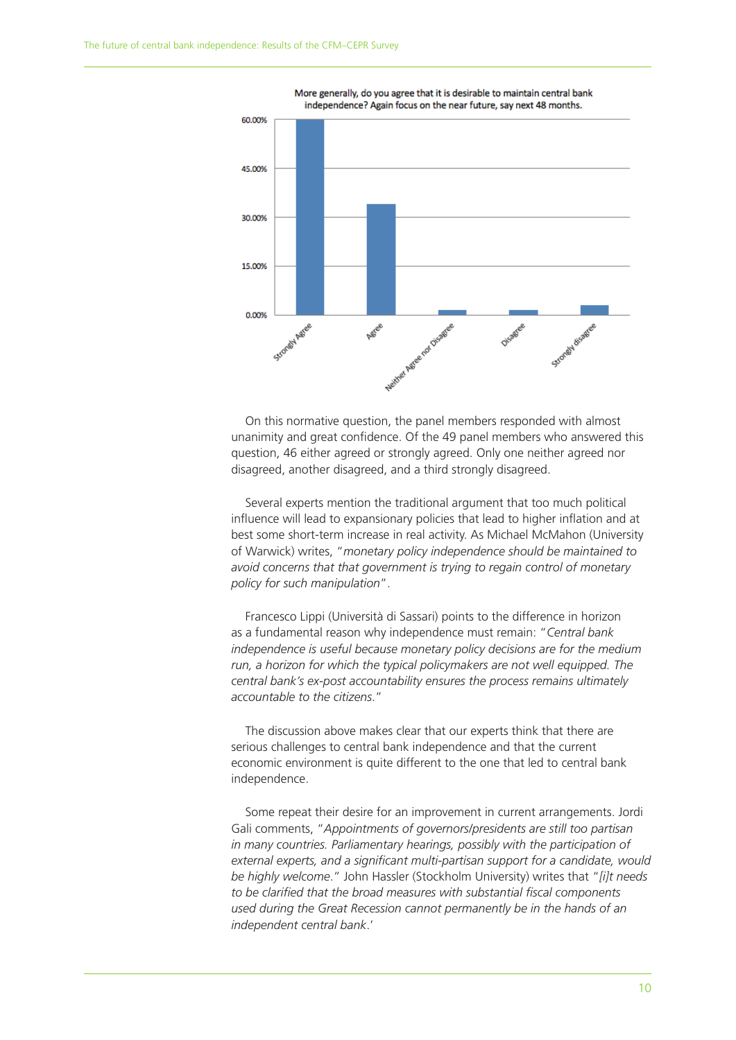

More generally, do you agree that it is desirable to maintain central bank independence? Again focus on the near future, say next 48 months.

On this normative question, the panel members responded with almost unanimity and great confidence. Of the 49 panel members who answered this question, 46 either agreed or strongly agreed. Only one neither agreed nor disagreed, another disagreed, and a third strongly disagreed.

Several experts mention the traditional argument that too much political influence will lead to expansionary policies that lead to higher inflation and at best some short-term increase in real activity. As Michael McMahon (University of Warwick) writes, "*monetary policy independence should be maintained to avoid concerns that that government is trying to regain control of monetary policy for such manipulation*".

Francesco Lippi (Università di Sassari) points to the difference in horizon as a fundamental reason why independence must remain: "*Central bank independence is useful because monetary policy decisions are for the medium run, a horizon for which the typical policymakers are not well equipped. The central bank's ex-post accountability ensures the process remains ultimately accountable to the citizens*."

The discussion above makes clear that our experts think that there are serious challenges to central bank independence and that the current economic environment is quite different to the one that led to central bank independence.

Some repeat their desire for an improvement in current arrangements. Jordi Gali comments, "*Appointments of governors/presidents are still too partisan in many countries. Parliamentary hearings, possibly with the participation of external experts, and a significant multi-partisan support for a candidate, would be highly welcome*." John Hassler (Stockholm University) writes that "*[i]t needs to be clarified that the broad measures with substantial fiscal components used during the Great Recession cannot permanently be in the hands of an independent central bank*.'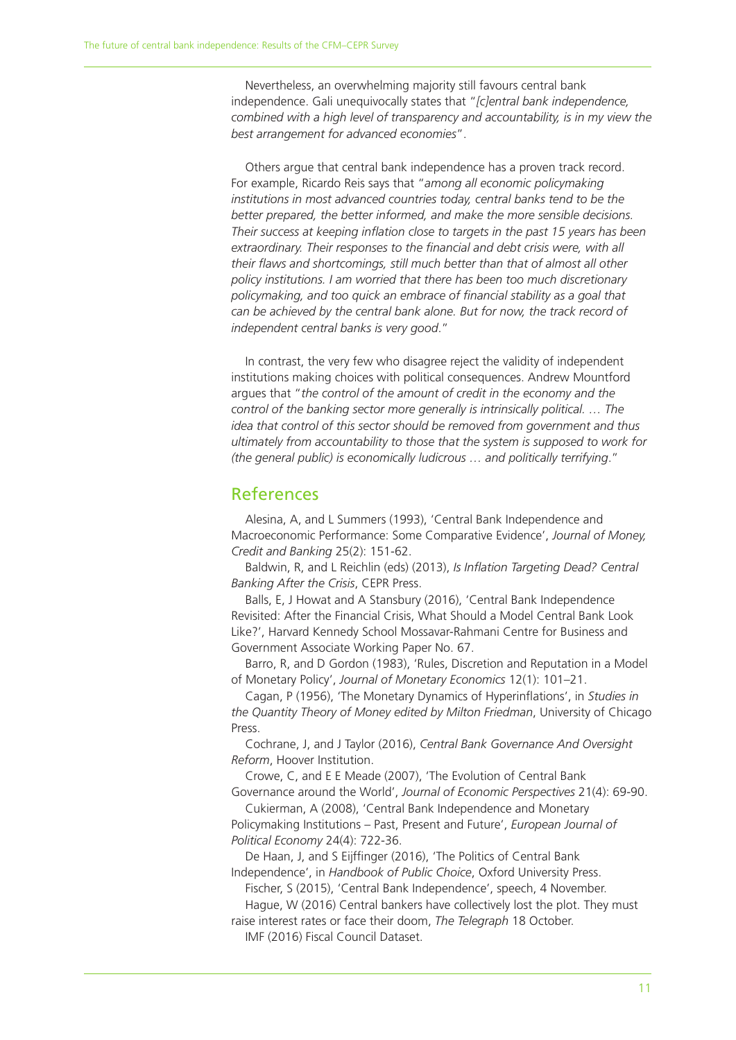Nevertheless, an overwhelming majority still favours central bank independence. Gali unequivocally states that "*[c]entral bank independence, combined with a high level of transparency and accountability, is in my view the best arrangement for advanced economies*".

Others argue that central bank independence has a proven track record. For example, Ricardo Reis says that "*among all economic policymaking institutions in most advanced countries today, central banks tend to be the better prepared, the better informed, and make the more sensible decisions. Their success at keeping inflation close to targets in the past 15 years has been extraordinary. Their responses to the financial and debt crisis were, with all their flaws and shortcomings, still much better than that of almost all other policy institutions. I am worried that there has been too much discretionary policymaking, and too quick an embrace of financial stability as a goal that can be achieved by the central bank alone. But for now, the track record of independent central banks is very good*."

In contrast, the very few who disagree reject the validity of independent institutions making choices with political consequences. Andrew Mountford argues that "*the control of the amount of credit in the economy and the control of the banking sector more generally is intrinsically political. … The idea that control of this sector should be removed from government and thus ultimately from accountability to those that the system is supposed to work for (the general public) is economically ludicrous … and politically terrifying*."

#### References

Alesina, A, and L Summers (1993), 'Central Bank Independence and Macroeconomic Performance: Some Comparative Evidence', *Journal of Money, Credit and Banking* 25(2): 151-62.

Baldwin, R, and L Reichlin (eds) (2013), *Is Inflation Targeting Dead? Central Banking After the Crisis*, CEPR Press.

Balls, E, J Howat and A Stansbury (2016), 'Central Bank Independence Revisited: After the Financial Crisis, What Should a Model Central Bank Look Like?', Harvard Kennedy School Mossavar-Rahmani Centre for Business and Government Associate Working Paper No. 67.

Barro, R, and D Gordon (1983), 'Rules, Discretion and Reputation in a Model of Monetary Policy', *Journal of Monetary Economics* 12(1): 101–21.

Cagan, P (1956), 'The Monetary Dynamics of Hyperinflations', in *Studies in the Quantity Theory of Money edited by Milton Friedman*, University of Chicago Press.

Cochrane, J, and J Taylor (2016), *Central Bank Governance And Oversight Reform*, Hoover Institution.

Crowe, C, and E E Meade (2007), 'The Evolution of Central Bank Governance around the World', *Journal of Economic Perspectives* 21(4): 69-90.

Cukierman, A (2008), 'Central Bank Independence and Monetary Policymaking Institutions – Past, Present and Future', *European Journal of Political Economy* 24(4): 722-36.

De Haan, J, and S Eijffinger (2016), 'The Politics of Central Bank Independence', in *Handbook of Public Choice*, Oxford University Press.

Fischer, S (2015), 'Central Bank Independence', speech, 4 November.

Hague, W (2016) Central bankers have collectively lost the plot. They must raise interest rates or face their doom, *The Telegraph* 18 October.

IMF (2016) Fiscal Council Dataset.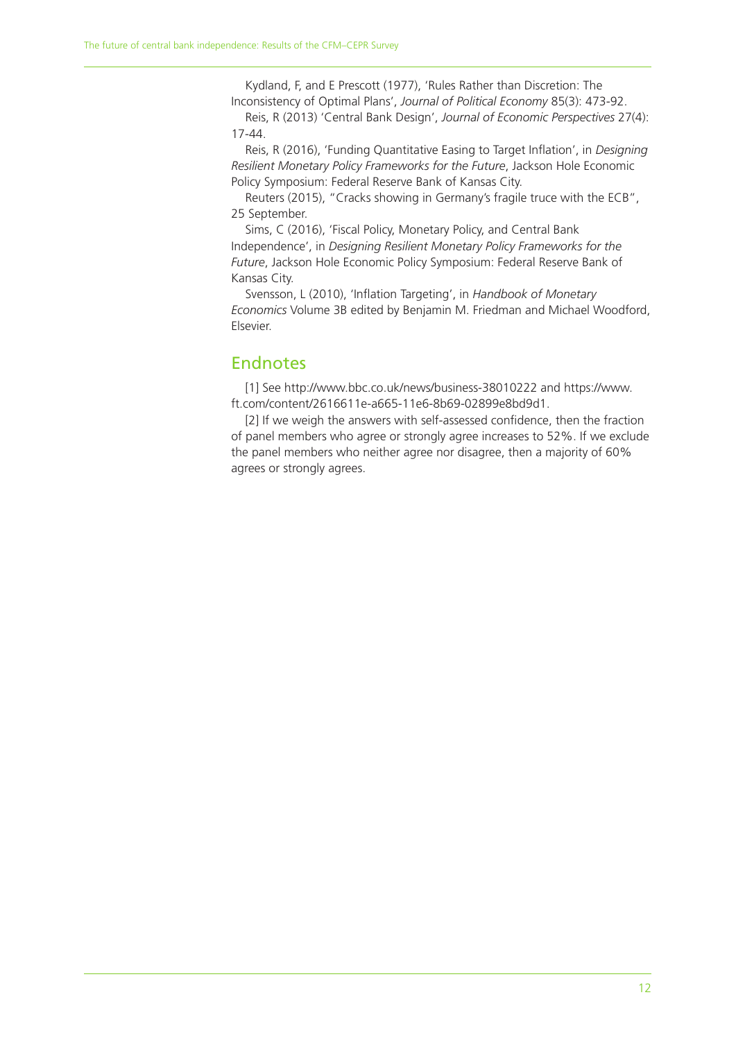Kydland, F, and E Prescott (1977), 'Rules Rather than Discretion: The Inconsistency of Optimal Plans', *Journal of Political Economy* 85(3): 473-92. Reis, R (2013) 'Central Bank Design', *Journal of Economic Perspectives* 27(4):

17-44.

Reis, R (2016), 'Funding Quantitative Easing to Target Inflation', in *Designing Resilient Monetary Policy Frameworks for the Future*, Jackson Hole Economic Policy Symposium: Federal Reserve Bank of Kansas City.

Reuters (2015), "Cracks showing in Germany's fragile truce with the ECB", 25 September.

Sims, C (2016), 'Fiscal Policy, Monetary Policy, and Central Bank Independence', in *Designing Resilient Monetary Policy Frameworks for the Future*, Jackson Hole Economic Policy Symposium: Federal Reserve Bank of Kansas City.

Svensson, L (2010), 'Inflation Targeting', in *Handbook of Monetary Economics* Volume 3B edited by Benjamin M. Friedman and Michael Woodford, Elsevier.

#### Endnotes

[1] See http://www.bbc.co.uk/news/business-38010222 and https://www. ft.com/content/2616611e-a665-11e6-8b69-02899e8bd9d1.

[2] If we weigh the answers with self-assessed confidence, then the fraction of panel members who agree or strongly agree increases to 52%. If we exclude the panel members who neither agree nor disagree, then a majority of 60% agrees or strongly agrees.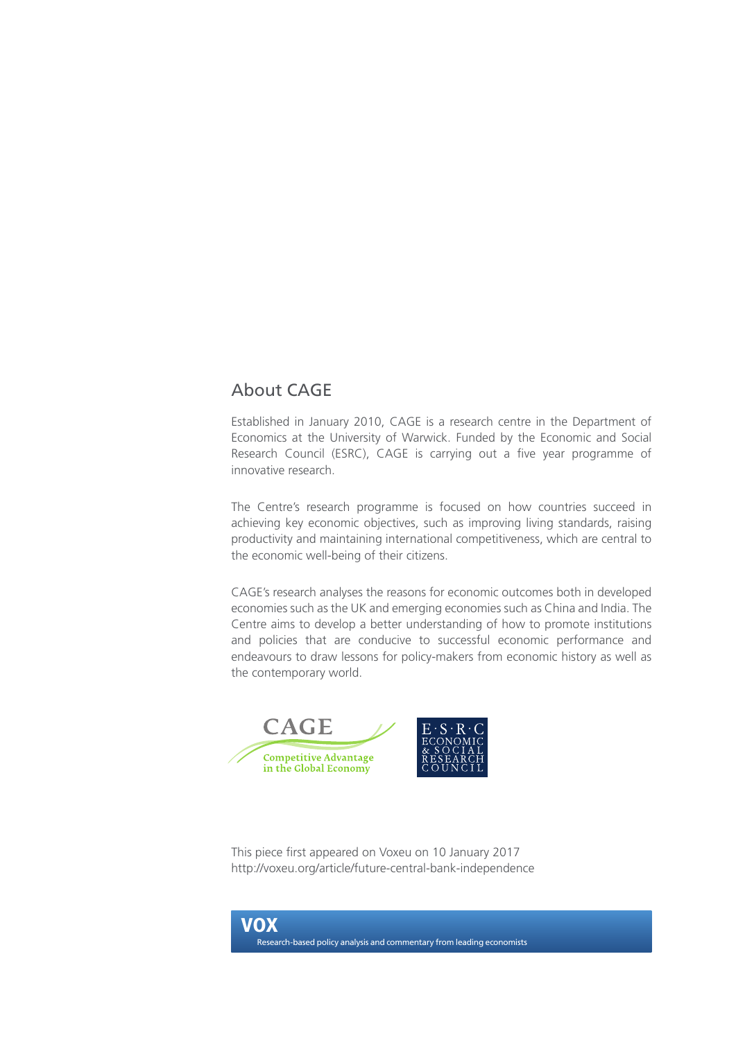## About CAGE

Established in January 2010, CAGE is a research centre in the Department of Economics at the University of Warwick. Funded by the Economic and Social Research Council (ESRC), CAGE is carrying out a five year programme of innovative research.

The Centre's research programme is focused on how countries succeed in achieving key economic objectives, such as improving living standards, raising productivity and maintaining international competitiveness, which are central to the economic well-being of their citizens.

CAGE's research analyses the reasons for economic outcomes both in developed economies such as the UK and emerging economies such as China and India. The Centre aims to develop a better understanding of how to promote institutions and policies that are conducive to successful economic performance and endeavours to draw lessons for policy-makers from economic history as well as the contemporary world.



This piece first appeared on Voxeu on 10 January 2017 http://voxeu.org/article/future-central-bank-independence

VOX Research-based policy analysis and commentary from leading economists